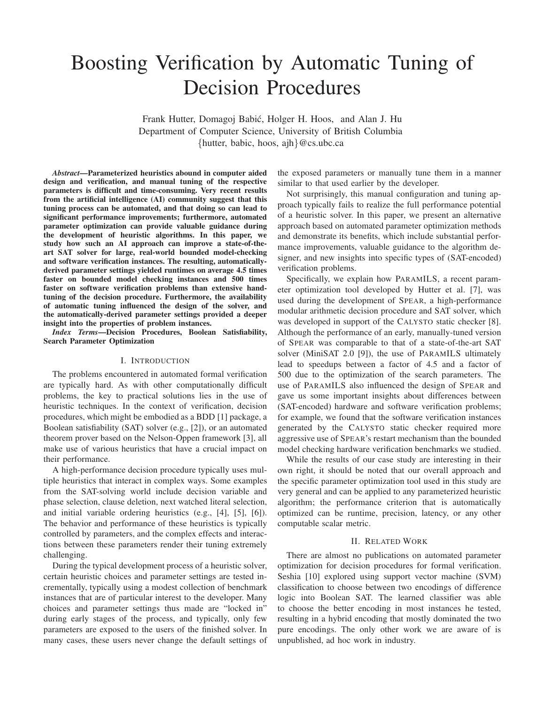# Boosting Verification by Automatic Tuning of Decision Procedures

Frank Hutter, Domagoj Babić, Holger H. Hoos, and Alan J. Hu Department of Computer Science, University of British Columbia {hutter, babic, hoos, ajh}@cs.ubc.ca

*Abstract***—Parameterized heuristics abound in computer aided design and verification, and manual tuning of the respective parameters is difficult and time-consuming. Very recent results from the artificial intelligence (AI) community suggest that this tuning process can be automated, and that doing so can lead to significant performance improvements; furthermore, automated parameter optimization can provide valuable guidance during the development of heuristic algorithms. In this paper, we study how such an AI approach can improve a state-of-theart SAT solver for large, real-world bounded model-checking and software verification instances. The resulting, automaticallyderived parameter settings yielded runtimes on average 4.5 times faster on bounded model checking instances and 500 times faster on software verification problems than extensive handtuning of the decision procedure. Furthermore, the availability of automatic tuning influenced the design of the solver, and the automatically-derived parameter settings provided a deeper insight into the properties of problem instances.**

*Index Terms***—Decision Procedures, Boolean Satisfiability, Search Parameter Optimization**

#### I. INTRODUCTION

The problems encountered in automated formal verification are typically hard. As with other computationally difficult problems, the key to practical solutions lies in the use of heuristic techniques. In the context of verification, decision procedures, which might be embodied as a BDD [1] package, a Boolean satisfiability (SAT) solver (e.g., [2]), or an automated theorem prover based on the Nelson-Oppen framework [3], all make use of various heuristics that have a crucial impact on their performance.

A high-performance decision procedure typically uses multiple heuristics that interact in complex ways. Some examples from the SAT-solving world include decision variable and phase selection, clause deletion, next watched literal selection, and initial variable ordering heuristics (e.g., [4], [5], [6]). The behavior and performance of these heuristics is typically controlled by parameters, and the complex effects and interactions between these parameters render their tuning extremely challenging.

During the typical development process of a heuristic solver, certain heuristic choices and parameter settings are tested incrementally, typically using a modest collection of benchmark instances that are of particular interest to the developer. Many choices and parameter settings thus made are "locked in" during early stages of the process, and typically, only few parameters are exposed to the users of the finished solver. In many cases, these users never change the default settings of the exposed parameters or manually tune them in a manner similar to that used earlier by the developer.

Not surprisingly, this manual configuration and tuning approach typically fails to realize the full performance potential of a heuristic solver. In this paper, we present an alternative approach based on automated parameter optimization methods and demonstrate its benefits, which include substantial performance improvements, valuable guidance to the algorithm designer, and new insights into specific types of (SAT-encoded) verification problems.

Specifically, we explain how PARAMILS, a recent parameter optimization tool developed by Hutter et al. [7], was used during the development of SPEAR, a high-performance modular arithmetic decision procedure and SAT solver, which was developed in support of the CALYSTO static checker [8]. Although the performance of an early, manually-tuned version of SPEAR was comparable to that of a state-of-the-art SAT solver (MiniSAT 2.0 [9]), the use of PARAMILS ultimately lead to speedups between a factor of 4.5 and a factor of 500 due to the optimization of the search parameters. The use of PARAMILS also influenced the design of SPEAR and gave us some important insights about differences between (SAT-encoded) hardware and software verification problems; for example, we found that the software verification instances generated by the CALYSTO static checker required more aggressive use of SPEAR's restart mechanism than the bounded model checking hardware verification benchmarks we studied.

While the results of our case study are interesting in their own right, it should be noted that our overall approach and the specific parameter optimization tool used in this study are very general and can be applied to any parameterized heuristic algorithm; the performance criterion that is automatically optimized can be runtime, precision, latency, or any other computable scalar metric.

#### II. RELATED WORK

There are almost no publications on automated parameter optimization for decision procedures for formal verification. Seshia [10] explored using support vector machine (SVM) classification to choose between two encodings of difference logic into Boolean SAT. The learned classifier was able to choose the better encoding in most instances he tested, resulting in a hybrid encoding that mostly dominated the two pure encodings. The only other work we are aware of is unpublished, ad hoc work in industry.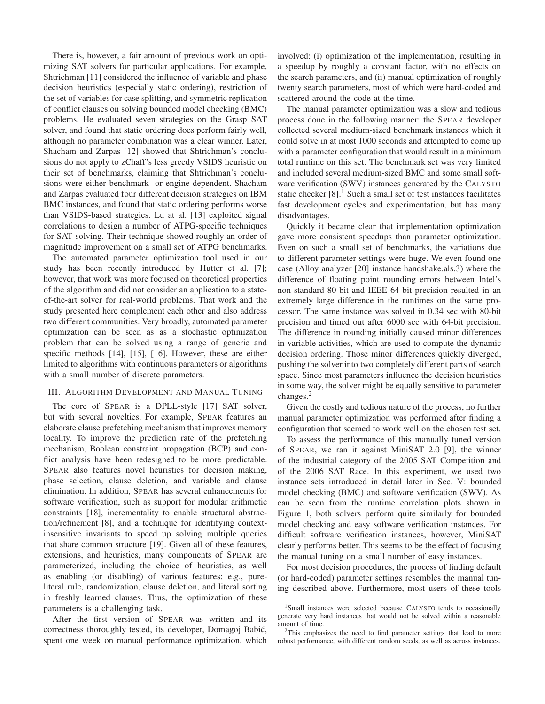There is, however, a fair amount of previous work on optimizing SAT solvers for particular applications. For example, Shtrichman [11] considered the influence of variable and phase decision heuristics (especially static ordering), restriction of the set of variables for case splitting, and symmetric replication of conflict clauses on solving bounded model checking (BMC) problems. He evaluated seven strategies on the Grasp SAT solver, and found that static ordering does perform fairly well, although no parameter combination was a clear winner. Later, Shacham and Zarpas [12] showed that Shtrichman's conclusions do not apply to zChaff's less greedy VSIDS heuristic on their set of benchmarks, claiming that Shtrichman's conclusions were either benchmark- or engine-dependent. Shacham and Zarpas evaluated four different decision strategies on IBM BMC instances, and found that static ordering performs worse than VSIDS-based strategies. Lu at al. [13] exploited signal correlations to design a number of ATPG-specific techniques for SAT solving. Their technique showed roughly an order of magnitude improvement on a small set of ATPG benchmarks.

The automated parameter optimization tool used in our study has been recently introduced by Hutter et al. [7]; however, that work was more focused on theoretical properties of the algorithm and did not consider an application to a stateof-the-art solver for real-world problems. That work and the study presented here complement each other and also address two different communities. Very broadly, automated parameter optimization can be seen as as a stochastic optimization problem that can be solved using a range of generic and specific methods [14], [15], [16]. However, these are either limited to algorithms with continuous parameters or algorithms with a small number of discrete parameters.

#### III. ALGORITHM DEVELOPMENT AND MANUAL TUNING

The core of SPEAR is a DPLL-style [17] SAT solver, but with several novelties. For example, SPEAR features an elaborate clause prefetching mechanism that improves memory locality. To improve the prediction rate of the prefetching mechanism, Boolean constraint propagation (BCP) and conflict analysis have been redesigned to be more predictable. SPEAR also features novel heuristics for decision making, phase selection, clause deletion, and variable and clause elimination. In addition, SPEAR has several enhancements for software verification, such as support for modular arithmetic constraints [18], incrementality to enable structural abstraction/refinement [8], and a technique for identifying contextinsensitive invariants to speed up solving multiple queries that share common structure [19]. Given all of these features, extensions, and heuristics, many components of SPEAR are parameterized, including the choice of heuristics, as well as enabling (or disabling) of various features: e.g., pureliteral rule, randomization, clause deletion, and literal sorting in freshly learned clauses. Thus, the optimization of these parameters is a challenging task.

After the first version of SPEAR was written and its correctness thoroughly tested, its developer, Domagoj Babić, spent one week on manual performance optimization, which involved: (i) optimization of the implementation, resulting in a speedup by roughly a constant factor, with no effects on the search parameters, and (ii) manual optimization of roughly twenty search parameters, most of which were hard-coded and scattered around the code at the time.

The manual parameter optimization was a slow and tedious process done in the following manner: the SPEAR developer collected several medium-sized benchmark instances which it could solve in at most 1000 seconds and attempted to come up with a parameter configuration that would result in a minimum total runtime on this set. The benchmark set was very limited and included several medium-sized BMC and some small software verification (SWV) instances generated by the CALYSTO static checker  $[8]$ .<sup>1</sup> Such a small set of test instances facilitates fast development cycles and experimentation, but has many disadvantages.

Quickly it became clear that implementation optimization gave more consistent speedups than parameter optimization. Even on such a small set of benchmarks, the variations due to different parameter settings were huge. We even found one case (Alloy analyzer [20] instance handshake.als.3) where the difference of floating point rounding errors between Intel's non-standard 80-bit and IEEE 64-bit precision resulted in an extremely large difference in the runtimes on the same processor. The same instance was solved in 0.34 sec with 80-bit precision and timed out after 6000 sec with 64-bit precision. The difference in rounding initially caused minor differences in variable activities, which are used to compute the dynamic decision ordering. Those minor differences quickly diverged, pushing the solver into two completely different parts of search space. Since most parameters influence the decision heuristics in some way, the solver might be equally sensitive to parameter changes.<sup>2</sup>

Given the costly and tedious nature of the process, no further manual parameter optimization was performed after finding a configuration that seemed to work well on the chosen test set.

To assess the performance of this manually tuned version of SPEAR, we ran it against MiniSAT 2.0 [9], the winner of the industrial category of the 2005 SAT Competition and of the 2006 SAT Race. In this experiment, we used two instance sets introduced in detail later in Sec. V: bounded model checking (BMC) and software verification (SWV). As can be seen from the runtime correlation plots shown in Figure 1, both solvers perform quite similarly for bounded model checking and easy software verification instances. For difficult software verification instances, however, MiniSAT clearly performs better. This seems to be the effect of focusing the manual tuning on a small number of easy instances.

For most decision procedures, the process of finding default (or hard-coded) parameter settings resembles the manual tuning described above. Furthermore, most users of these tools

<sup>&</sup>lt;sup>1</sup>Small instances were selected because CALYSTO tends to occasionally generate very hard instances that would not be solved within a reasonable amount of time.

<sup>&</sup>lt;sup>2</sup>This emphasizes the need to find parameter settings that lead to more robust performance, with different random seeds, as well as across instances.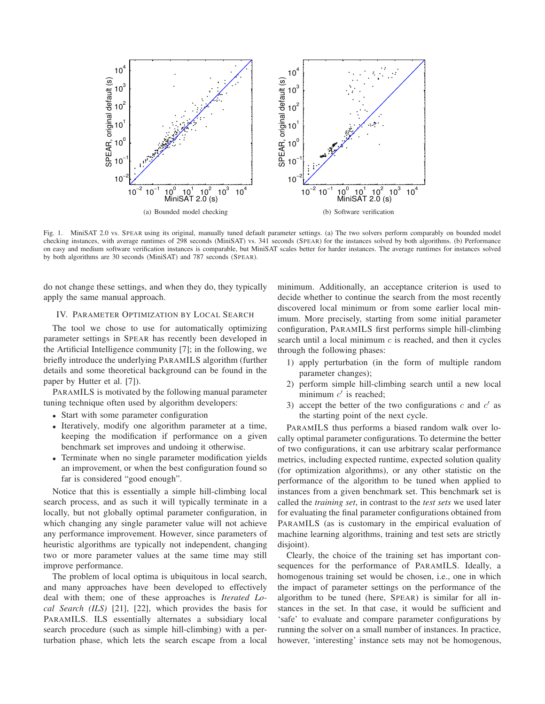

Fig. 1. MiniSAT 2.0 vs. SPEAR using its original, manually tuned default parameter settings. (a) The two solvers perform comparably on bounded model checking instances, with average runtimes of 298 seconds (MiniSAT) vs. 341 seconds (SPEAR) for the instances solved by both algorithms. (b) Performance on easy and medium software verification instances is comparable, but MiniSAT scales better for harder instances. The average runtimes for instances solved by both algorithms are 30 seconds (MiniSAT) and 787 seconds (SPEAR).

do not change these settings, and when they do, they typically apply the same manual approach.

#### IV. PARAMETER OPTIMIZATION BY LOCAL SEARCH

The tool we chose to use for automatically optimizing parameter settings in SPEAR has recently been developed in the Artificial Intelligence community [7]; in the following, we briefly introduce the underlying PARAMILS algorithm (further details and some theoretical background can be found in the paper by Hutter et al. [7]).

PARAMILS is motivated by the following manual parameter tuning technique often used by algorithm developers:

- Start with some parameter configuration
- Iteratively, modify one algorithm parameter at a time, keeping the modification if performance on a given benchmark set improves and undoing it otherwise.
- Terminate when no single parameter modification yields an improvement, or when the best configuration found so far is considered "good enough".

Notice that this is essentially a simple hill-climbing local search process, and as such it will typically terminate in a locally, but not globally optimal parameter configuration, in which changing any single parameter value will not achieve any performance improvement. However, since parameters of heuristic algorithms are typically not independent, changing two or more parameter values at the same time may still improve performance.

The problem of local optima is ubiquitous in local search, and many approaches have been developed to effectively deal with them; one of these approaches is *Iterated Local Search (ILS)* [21], [22], which provides the basis for PARAMILS. ILS essentially alternates a subsidiary local search procedure (such as simple hill-climbing) with a perturbation phase, which lets the search escape from a local minimum. Additionally, an acceptance criterion is used to decide whether to continue the search from the most recently discovered local minimum or from some earlier local minimum. More precisely, starting from some initial parameter configuration, PARAMILS first performs simple hill-climbing search until a local minimum  $c$  is reached, and then it cycles through the following phases:

- 1) apply perturbation (in the form of multiple random parameter changes);
- 2) perform simple hill-climbing search until a new local minimum  $c'$  is reached;
- 3) accept the better of the two configurations  $c$  and  $c'$  as the starting point of the next cycle.

PARAMILS thus performs a biased random walk over locally optimal parameter configurations. To determine the better of two configurations, it can use arbitrary scalar performance metrics, including expected runtime, expected solution quality (for optimization algorithms), or any other statistic on the performance of the algorithm to be tuned when applied to instances from a given benchmark set. This benchmark set is called the *training set*, in contrast to the *test sets* we used later for evaluating the final parameter configurations obtained from PARAMILS (as is customary in the empirical evaluation of machine learning algorithms, training and test sets are strictly disjoint).

Clearly, the choice of the training set has important consequences for the performance of PARAMILS. Ideally, a homogenous training set would be chosen, i.e., one in which the impact of parameter settings on the performance of the algorithm to be tuned (here, SPEAR) is similar for all instances in the set. In that case, it would be sufficient and 'safe' to evaluate and compare parameter configurations by running the solver on a small number of instances. In practice, however, 'interesting' instance sets may not be homogenous,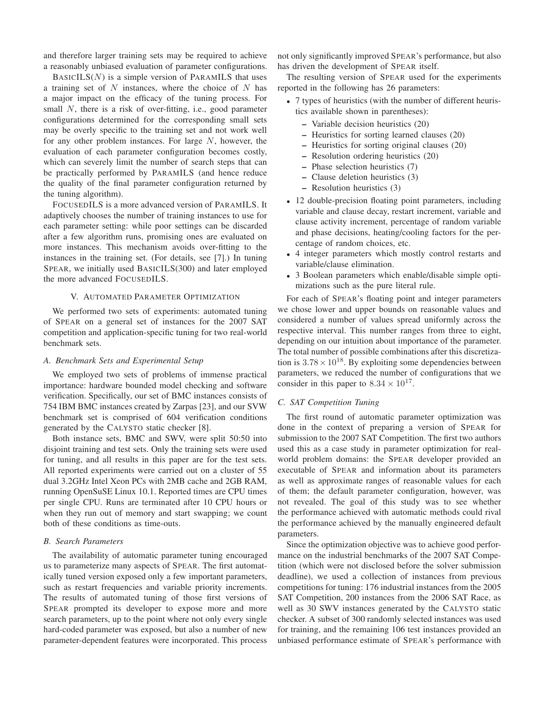and therefore larger training sets may be required to achieve a reasonably unbiased evaluation of parameter configurations.

 $BASICILS(N)$  is a simple version of PARAMILS that uses a training set of  $N$  instances, where the choice of  $N$  has a major impact on the efficacy of the tuning process. For small N, there is a risk of over-fitting, i.e., good parameter configurations determined for the corresponding small sets may be overly specific to the training set and not work well for any other problem instances. For large N, however, the evaluation of each parameter configuration becomes costly, which can severely limit the number of search steps that can be practically performed by PARAMILS (and hence reduce the quality of the final parameter configuration returned by the tuning algorithm).

FOCUSEDILS is a more advanced version of PARAMILS. It adaptively chooses the number of training instances to use for each parameter setting: while poor settings can be discarded after a few algorithm runs, promising ones are evaluated on more instances. This mechanism avoids over-fitting to the instances in the training set. (For details, see [7].) In tuning SPEAR, we initially used BASICILS(300) and later employed the more advanced FOCUSEDILS.

## V. AUTOMATED PARAMETER OPTIMIZATION

We performed two sets of experiments: automated tuning of SPEAR on a general set of instances for the 2007 SAT competition and application-specific tuning for two real-world benchmark sets.

## *A. Benchmark Sets and Experimental Setup*

We employed two sets of problems of immense practical importance: hardware bounded model checking and software verification. Specifically, our set of BMC instances consists of 754 IBM BMC instances created by Zarpas [23], and our SVW benchmark set is comprised of 604 verification conditions generated by the CALYSTO static checker [8].

Both instance sets, BMC and SWV, were split 50:50 into disjoint training and test sets. Only the training sets were used for tuning, and all results in this paper are for the test sets. All reported experiments were carried out on a cluster of 55 dual 3.2GHz Intel Xeon PCs with 2MB cache and 2GB RAM, running OpenSuSE Linux 10.1. Reported times are CPU times per single CPU. Runs are terminated after 10 CPU hours or when they run out of memory and start swapping; we count both of these conditions as time-outs.

## *B. Search Parameters*

The availability of automatic parameter tuning encouraged us to parameterize many aspects of SPEAR. The first automatically tuned version exposed only a few important parameters, such as restart frequencies and variable priority increments. The results of automated tuning of those first versions of SPEAR prompted its developer to expose more and more search parameters, up to the point where not only every single hard-coded parameter was exposed, but also a number of new parameter-dependent features were incorporated. This process not only significantly improved SPEAR's performance, but also has driven the development of SPEAR itself.

The resulting version of SPEAR used for the experiments reported in the following has 26 parameters:

- 7 types of heuristics (with the number of different heuristics available shown in parentheses):
	- **–** Variable decision heuristics (20)
	- **–** Heuristics for sorting learned clauses (20)
	- **–** Heuristics for sorting original clauses (20)
	- **–** Resolution ordering heuristics (20)
	- **–** Phase selection heuristics (7)
	- **–** Clause deletion heuristics (3)
	- **–** Resolution heuristics (3)
- 12 double-precision floating point parameters, including variable and clause decay, restart increment, variable and clause activity increment, percentage of random variable and phase decisions, heating/cooling factors for the percentage of random choices, etc.
- 4 integer parameters which mostly control restarts and variable/clause elimination.
- 3 Boolean parameters which enable/disable simple optimizations such as the pure literal rule.

For each of SPEAR's floating point and integer parameters we chose lower and upper bounds on reasonable values and considered a number of values spread uniformly across the respective interval. This number ranges from three to eight, depending on our intuition about importance of the parameter. The total number of possible combinations after this discretization is  $3.78 \times 10^{18}$ . By exploiting some dependencies between parameters, we reduced the number of configurations that we consider in this paper to  $8.34 \times 10^{17}$ .

#### *C. SAT Competition Tuning*

The first round of automatic parameter optimization was done in the context of preparing a version of SPEAR for submission to the 2007 SAT Competition. The first two authors used this as a case study in parameter optimization for realworld problem domains: the SPEAR developer provided an executable of SPEAR and information about its parameters as well as approximate ranges of reasonable values for each of them; the default parameter configuration, however, was not revealed. The goal of this study was to see whether the performance achieved with automatic methods could rival the performance achieved by the manually engineered default parameters.

Since the optimization objective was to achieve good performance on the industrial benchmarks of the 2007 SAT Competition (which were not disclosed before the solver submission deadline), we used a collection of instances from previous competitions for tuning: 176 industrial instances from the 2005 SAT Competition, 200 instances from the 2006 SAT Race, as well as 30 SWV instances generated by the CALYSTO static checker. A subset of 300 randomly selected instances was used for training, and the remaining 106 test instances provided an unbiased performance estimate of SPEAR's performance with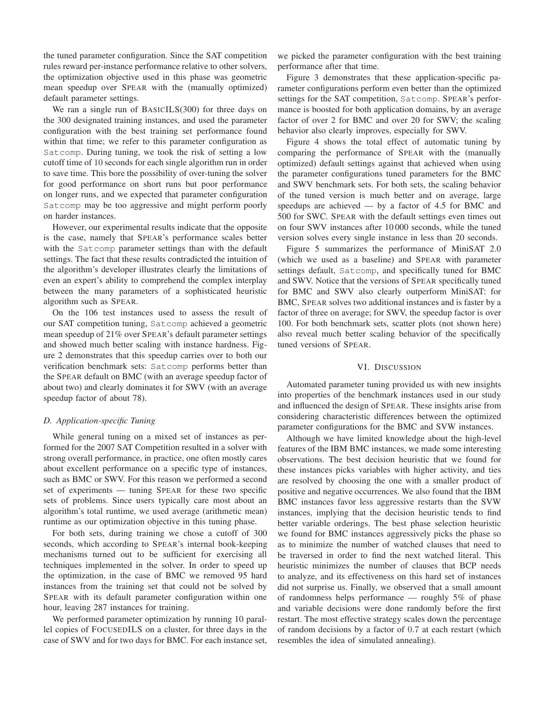the tuned parameter configuration. Since the SAT competition rules reward per-instance performance relative to other solvers, the optimization objective used in this phase was geometric mean speedup over SPEAR with the (manually optimized) default parameter settings.

We ran a single run of BASICILS(300) for three days on the 300 designated training instances, and used the parameter configuration with the best training set performance found within that time; we refer to this parameter configuration as Satcomp. During tuning, we took the risk of setting a low cutoff time of 10 seconds for each single algorithm run in order to save time. This bore the possibility of over-tuning the solver for good performance on short runs but poor performance on longer runs, and we expected that parameter configuration Satcomp may be too aggressive and might perform poorly on harder instances.

However, our experimental results indicate that the opposite is the case, namely that SPEAR's performance scales better with the Satcomp parameter settings than with the default settings. The fact that these results contradicted the intuition of the algorithm's developer illustrates clearly the limitations of even an expert's ability to comprehend the complex interplay between the many parameters of a sophisticated heuristic algorithm such as SPEAR.

On the 106 test instances used to assess the result of our SAT competition tuning, Satcomp achieved a geometric mean speedup of 21% over SPEAR's default parameter settings and showed much better scaling with instance hardness. Figure 2 demonstrates that this speedup carries over to both our verification benchmark sets: Satcomp performs better than the SPEAR default on BMC (with an average speedup factor of about two) and clearly dominates it for SWV (with an average speedup factor of about 78).

### *D. Application-specific Tuning*

While general tuning on a mixed set of instances as performed for the 2007 SAT Competition resulted in a solver with strong overall performance, in practice, one often mostly cares about excellent performance on a specific type of instances, such as BMC or SWV. For this reason we performed a second set of experiments — tuning SPEAR for these two specific sets of problems. Since users typically care most about an algorithm's total runtime, we used average (arithmetic mean) runtime as our optimization objective in this tuning phase.

For both sets, during training we chose a cutoff of 300 seconds, which according to SPEAR's internal book-keeping mechanisms turned out to be sufficient for exercising all techniques implemented in the solver. In order to speed up the optimization, in the case of BMC we removed 95 hard instances from the training set that could not be solved by SPEAR with its default parameter configuration within one hour, leaving 287 instances for training.

We performed parameter optimization by running 10 parallel copies of FOCUSEDILS on a cluster, for three days in the case of SWV and for two days for BMC. For each instance set, we picked the parameter configuration with the best training performance after that time.

Figure 3 demonstrates that these application-specific parameter configurations perform even better than the optimized settings for the SAT competition, Satcomp. SPEAR's performance is boosted for both application domains, by an average factor of over 2 for BMC and over 20 for SWV; the scaling behavior also clearly improves, especially for SWV.

Figure 4 shows the total effect of automatic tuning by comparing the performance of SPEAR with the (manually optimized) default settings against that achieved when using the parameter configurations tuned parameters for the BMC and SWV benchmark sets. For both sets, the scaling behavior of the tuned version is much better and on average, large speedups are achieved — by a factor of 4.5 for BMC and 500 for SWC. SPEAR with the default settings even times out on four SWV instances after 10 000 seconds, while the tuned version solves every single instance in less than 20 seconds.

Figure 5 summarizes the performance of MiniSAT 2.0 (which we used as a baseline) and SPEAR with parameter settings default, Satcomp, and specifically tuned for BMC and SWV. Notice that the versions of SPEAR specifically tuned for BMC and SWV also clearly outperform MiniSAT: for BMC, SPEAR solves two additional instances and is faster by a factor of three on average; for SWV, the speedup factor is over 100. For both benchmark sets, scatter plots (not shown here) also reveal much better scaling behavior of the specifically tuned versions of SPEAR.

## VI. DISCUSSION

Automated parameter tuning provided us with new insights into properties of the benchmark instances used in our study and influenced the design of SPEAR. These insights arise from considering characteristic differences between the optimized parameter configurations for the BMC and SVW instances.

Although we have limited knowledge about the high-level features of the IBM BMC instances, we made some interesting observations. The best decision heuristic that we found for these instances picks variables with higher activity, and ties are resolved by choosing the one with a smaller product of positive and negative occurrences. We also found that the IBM BMC instances favor less aggressive restarts than the SVW instances, implying that the decision heuristic tends to find better variable orderings. The best phase selection heuristic we found for BMC instances aggressively picks the phase so as to minimize the number of watched clauses that need to be traversed in order to find the next watched literal. This heuristic minimizes the number of clauses that BCP needs to analyze, and its effectiveness on this hard set of instances did not surprise us. Finally, we observed that a small amount of randomness helps performance — roughly 5% of phase and variable decisions were done randomly before the first restart. The most effective strategy scales down the percentage of random decisions by a factor of 0.7 at each restart (which resembles the idea of simulated annealing).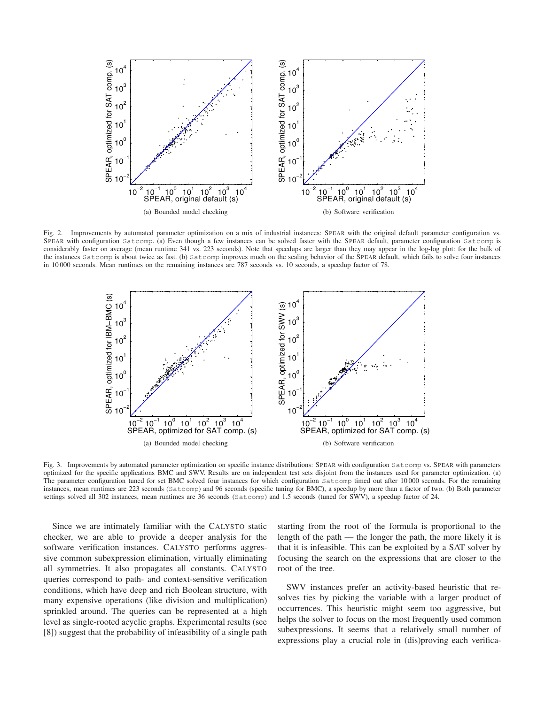

Fig. 2. Improvements by automated parameter optimization on a mix of industrial instances: SPEAR with the original default parameter configuration vs. SPEAR with configuration Satcomp. (a) Even though a few instances can be solved faster with the SPEAR default, parameter configuration Satcomp is considerably faster on average (mean runtime 341 vs. 223 seconds). Note that speedups are larger than they may appear in the log-log plot: for the bulk of the instances Satcomp is about twice as fast. (b) Satcomp improves much on the scaling behavior of the SPEAR default, which fails to solve four instances in 10 000 seconds. Mean runtimes on the remaining instances are 787 seconds vs. 10 seconds, a speedup factor of 78.



Fig. 3. Improvements by automated parameter optimization on specific instance distributions: SPEAR with configuration Satcomp vs. SPEAR with parameters optimized for the specific applications BMC and SWV. Results are on independent test sets disjoint from the instances used for parameter optimization. (a) The parameter configuration tuned for set BMC solved four instances for which configuration Satcomp timed out after 10000 seconds. For the remaining instances, mean runtimes are 223 seconds (Satcomp) and 96 seconds (specific tuning for BMC), a speedup by more than a factor of two. (b) Both parameter settings solved all 302 instances, mean runtimes are 36 seconds (Satcomp) and 1.5 seconds (tuned for SWV), a speedup factor of 24.

Since we are intimately familiar with the CALYSTO static checker, we are able to provide a deeper analysis for the software verification instances. CALYSTO performs aggressive common subexpression elimination, virtually eliminating all symmetries. It also propagates all constants. CALYSTO queries correspond to path- and context-sensitive verification conditions, which have deep and rich Boolean structure, with many expensive operations (like division and multiplication) sprinkled around. The queries can be represented at a high level as single-rooted acyclic graphs. Experimental results (see [8]) suggest that the probability of infeasibility of a single path

starting from the root of the formula is proportional to the length of the path — the longer the path, the more likely it is that it is infeasible. This can be exploited by a SAT solver by focusing the search on the expressions that are closer to the root of the tree.

SWV instances prefer an activity-based heuristic that resolves ties by picking the variable with a larger product of occurrences. This heuristic might seem too aggressive, but helps the solver to focus on the most frequently used common subexpressions. It seems that a relatively small number of expressions play a crucial role in (dis)proving each verifica-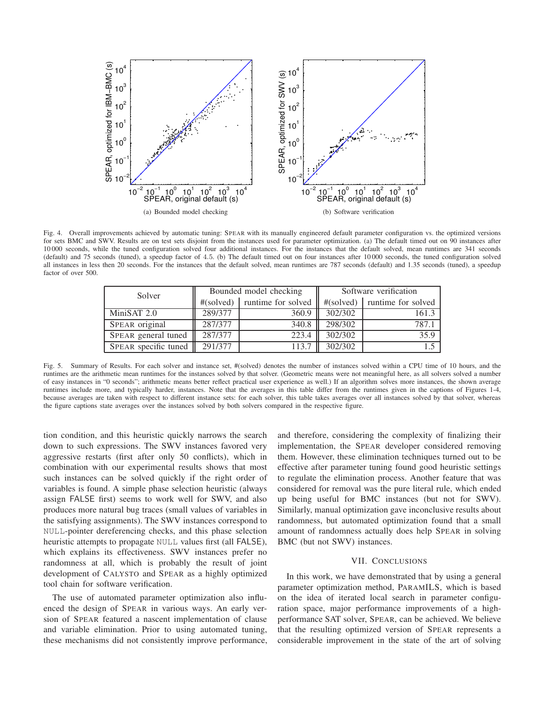

Fig. 4. Overall improvements achieved by automatic tuning: SPEAR with its manually engineered default parameter configuration vs. the optimized versions for sets BMC and SWV. Results are on test sets disjoint from the instances used for parameter optimization. (a) The default timed out on 90 instances after 10 000 seconds, while the tuned configuration solved four additional instances. For the instances that the default solved, mean runtimes are 341 seconds (default) and 75 seconds (tuned), a speedup factor of 4.5. (b) The default timed out on four instances after 10 000 seconds, the tuned configuration solved all instances in less then 20 seconds. For the instances that the default solved, mean runtimes are 787 seconds (default) and 1.35 seconds (tuned), a speedup factor of over 500.

| Solver               | Bounded model checking |                                 | Software verification |                                 |
|----------------------|------------------------|---------------------------------|-----------------------|---------------------------------|
|                      |                        | $\#(solved)$ runtime for solved |                       | $\#(solved)$ runtime for solved |
| MiniSAT 2.0          | 289/377                | 360.9                           | 302/302               | 161.3                           |
| SPEAR original       | 287/377                | 340.8                           | 298/302               | 787.1                           |
| SPEAR general tuned  | 287/377                | 223.4                           | 302/302               | 35.9                            |
| SPEAR specific tuned | 291/377                | 113.7                           | 302/302               |                                 |

Fig. 5. Summary of Results. For each solver and instance set, #(solved) denotes the number of instances solved within a CPU time of 10 hours, and the runtimes are the arithmetic mean runtimes for the instances solved by that solver. (Geometric means were not meaningful here, as all solvers solved a number of easy instances in "0 seconds"; arithmetic means better reflect practical user experience as well.) If an algorithm solves more instances, the shown average runtimes include more, and typically harder, instances. Note that the averages in this table differ from the runtimes given in the captions of Figures 1-4, because averages are taken with respect to different instance sets: for each solver, this table takes averages over all instances solved by that solver, whereas the figure captions state averages over the instances solved by both solvers compared in the respective figure.

tion condition, and this heuristic quickly narrows the search down to such expressions. The SWV instances favored very aggressive restarts (first after only 50 conflicts), which in combination with our experimental results shows that most such instances can be solved quickly if the right order of variables is found. A simple phase selection heuristic (always assign FALSE first) seems to work well for SWV, and also produces more natural bug traces (small values of variables in the satisfying assignments). The SWV instances correspond to NULL-pointer dereferencing checks, and this phase selection heuristic attempts to propagate NULL values first (all FALSE), which explains its effectiveness. SWV instances prefer no randomness at all, which is probably the result of joint development of CALYSTO and SPEAR as a highly optimized tool chain for software verification.

The use of automated parameter optimization also influenced the design of SPEAR in various ways. An early version of SPEAR featured a nascent implementation of clause and variable elimination. Prior to using automated tuning, these mechanisms did not consistently improve performance,

and therefore, considering the complexity of finalizing their implementation, the SPEAR developer considered removing them. However, these elimination techniques turned out to be effective after parameter tuning found good heuristic settings to regulate the elimination process. Another feature that was considered for removal was the pure literal rule, which ended up being useful for BMC instances (but not for SWV). Similarly, manual optimization gave inconclusive results about randomness, but automated optimization found that a small amount of randomness actually does help SPEAR in solving BMC (but not SWV) instances.

## VII. CONCLUSIONS

In this work, we have demonstrated that by using a general parameter optimization method, PARAMILS, which is based on the idea of iterated local search in parameter configuration space, major performance improvements of a highperformance SAT solver, SPEAR, can be achieved. We believe that the resulting optimized version of SPEAR represents a considerable improvement in the state of the art of solving